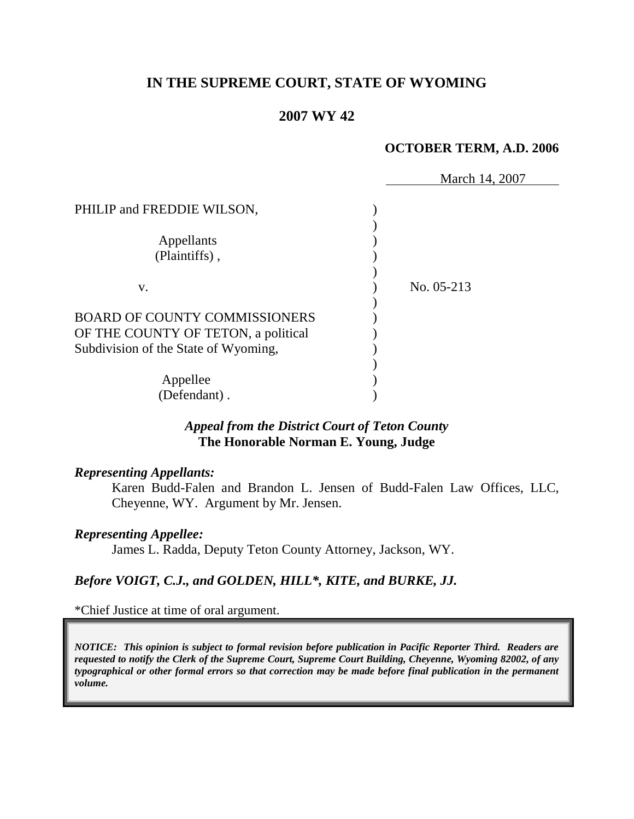# **IN THE SUPREME COURT, STATE OF WYOMING**

# **2007 WY 42**

#### **OCTOBER TERM, A.D. 2006**

|                                      | March 14, 2007 |
|--------------------------------------|----------------|
| PHILIP and FREDDIE WILSON,           |                |
|                                      |                |
| Appellants                           |                |
| (Plaintiffs),                        |                |
|                                      |                |
| V.                                   | No. 05-213     |
|                                      |                |
| <b>BOARD OF COUNTY COMMISSIONERS</b> |                |
| OF THE COUNTY OF TETON, a political  |                |
| Subdivision of the State of Wyoming, |                |
|                                      |                |
| Appellee                             |                |
| (Defendant).                         |                |

### *Appeal from the District Court of Teton County* **The Honorable Norman E. Young, Judge**

#### *Representing Appellants:*

Karen Budd-Falen and Brandon L. Jensen of Budd-Falen Law Offices, LLC, Cheyenne, WY. Argument by Mr. Jensen.

#### *Representing Appellee:*

James L. Radda, Deputy Teton County Attorney, Jackson, WY.

# *Before VOIGT, C.J., and GOLDEN, HILL\*, KITE, and BURKE, JJ.*

\*Chief Justice at time of oral argument.

*NOTICE: This opinion is subject to formal revision before publication in Pacific Reporter Third. Readers are requested to notify the Clerk of the Supreme Court, Supreme Court Building, Cheyenne, Wyoming 82002, of any typographical or other formal errors so that correction may be made before final publication in the permanent volume.*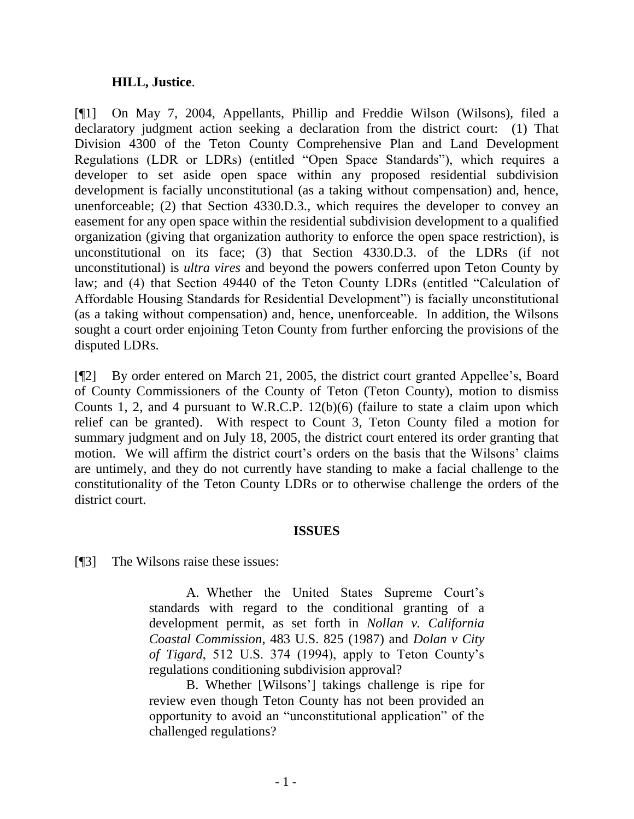### **HILL, Justice**.

[¶1] On May 7, 2004, Appellants, Phillip and Freddie Wilson (Wilsons), filed a declaratory judgment action seeking a declaration from the district court: (1) That Division 4300 of the Teton County Comprehensive Plan and Land Development Regulations (LDR or LDRs) (entitled "Open Space Standards"), which requires a developer to set aside open space within any proposed residential subdivision development is facially unconstitutional (as a taking without compensation) and, hence, unenforceable; (2) that Section 4330.D.3., which requires the developer to convey an easement for any open space within the residential subdivision development to a qualified organization (giving that organization authority to enforce the open space restriction), is unconstitutional on its face; (3) that Section 4330.D.3. of the LDRs (if not unconstitutional) is *ultra vires* and beyond the powers conferred upon Teton County by law; and (4) that Section 49440 of the Teton County LDRs (entitled "Calculation of Affordable Housing Standards for Residential Development") is facially unconstitutional (as a taking without compensation) and, hence, unenforceable. In addition, the Wilsons sought a court order enjoining Teton County from further enforcing the provisions of the disputed LDRs.

[¶2] By order entered on March 21, 2005, the district court granted Appellee"s, Board of County Commissioners of the County of Teton (Teton County), motion to dismiss Counts 1, 2, and 4 pursuant to W.R.C.P. 12(b)(6) (failure to state a claim upon which relief can be granted). With respect to Count 3, Teton County filed a motion for summary judgment and on July 18, 2005, the district court entered its order granting that motion. We will affirm the district court's orders on the basis that the Wilsons' claims are untimely, and they do not currently have standing to make a facial challenge to the constitutionality of the Teton County LDRs or to otherwise challenge the orders of the district court.

# **ISSUES**

[¶3] The Wilsons raise these issues:

A. Whether the United States Supreme Court"s standards with regard to the conditional granting of a development permit, as set forth in *Nollan v. California Coastal Commission*, 483 U.S. 825 (1987) and *Dolan v City of Tigard*, 512 U.S. 374 (1994), apply to Teton County"s regulations conditioning subdivision approval?

B. Whether [Wilsons"] takings challenge is ripe for review even though Teton County has not been provided an opportunity to avoid an "unconstitutional application" of the challenged regulations?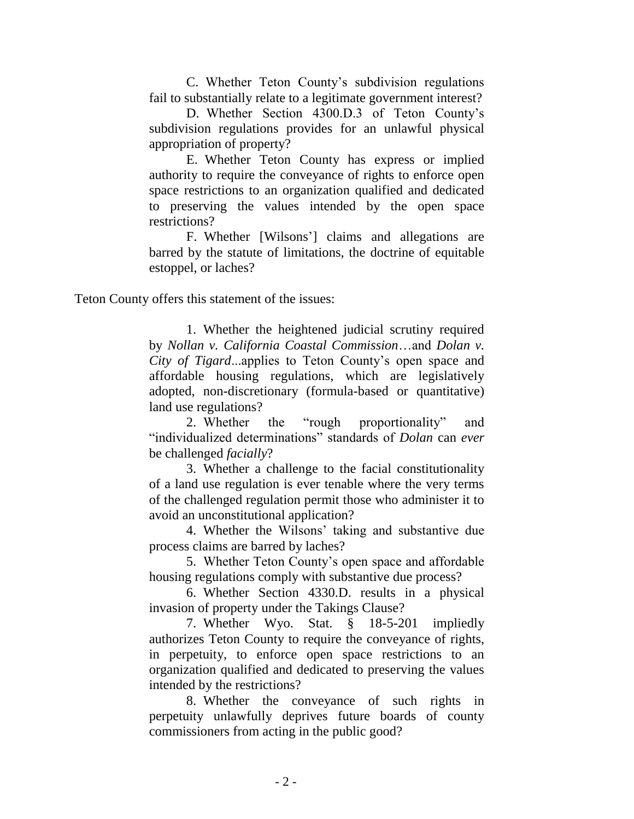C. Whether Teton County"s subdivision regulations fail to substantially relate to a legitimate government interest?

D. Whether Section 4300.D.3 of Teton County"s subdivision regulations provides for an unlawful physical appropriation of property?

E. Whether Teton County has express or implied authority to require the conveyance of rights to enforce open space restrictions to an organization qualified and dedicated to preserving the values intended by the open space restrictions?

F. Whether [Wilsons"] claims and allegations are barred by the statute of limitations, the doctrine of equitable estoppel, or laches?

Teton County offers this statement of the issues:

1. Whether the heightened judicial scrutiny required by *Nollan v. California Coastal Commission*…and *Dolan v. City of Tigard*...applies to Teton County"s open space and affordable housing regulations, which are legislatively adopted, non-discretionary (formula-based or quantitative) land use regulations?

2. Whether the "rough proportionality" and "individualized determinations" standards of *Dolan* can *ever* be challenged *facially*?

3. Whether a challenge to the facial constitutionality of a land use regulation is ever tenable where the very terms of the challenged regulation permit those who administer it to avoid an unconstitutional application?

4. Whether the Wilsons" taking and substantive due process claims are barred by laches?

5. Whether Teton County"s open space and affordable housing regulations comply with substantive due process?

6. Whether Section 4330.D. results in a physical invasion of property under the Takings Clause?

7. Whether Wyo. Stat. § 18-5-201 impliedly authorizes Teton County to require the conveyance of rights, in perpetuity, to enforce open space restrictions to an organization qualified and dedicated to preserving the values intended by the restrictions?

8. Whether the conveyance of such rights in perpetuity unlawfully deprives future boards of county commissioners from acting in the public good?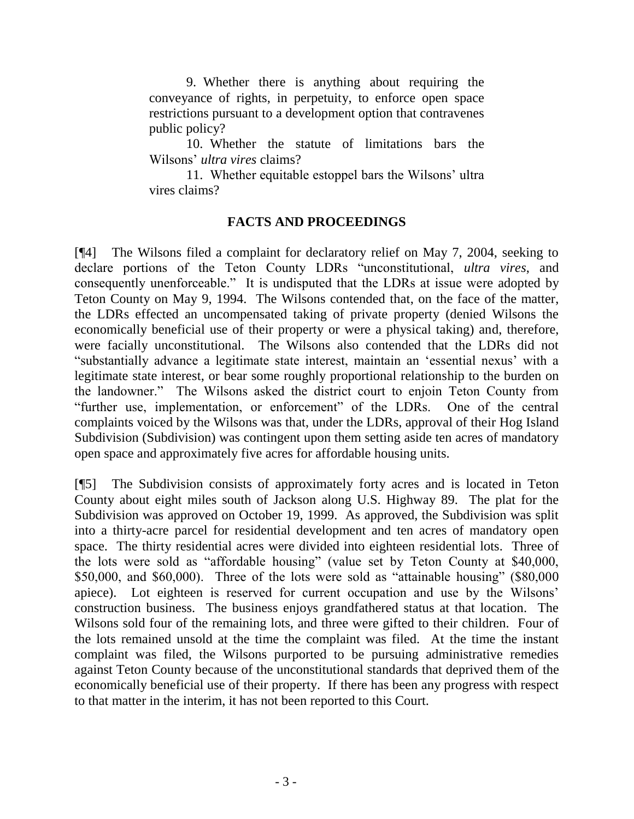9. Whether there is anything about requiring the conveyance of rights, in perpetuity, to enforce open space restrictions pursuant to a development option that contravenes public policy?

10. Whether the statute of limitations bars the Wilsons" *ultra vires* claims?

11. Whether equitable estoppel bars the Wilsons" ultra vires claims?

# **FACTS AND PROCEEDINGS**

[¶4] The Wilsons filed a complaint for declaratory relief on May 7, 2004, seeking to declare portions of the Teton County LDRs "unconstitutional, *ultra vires*, and consequently unenforceable." It is undisputed that the LDRs at issue were adopted by Teton County on May 9, 1994. The Wilsons contended that, on the face of the matter, the LDRs effected an uncompensated taking of private property (denied Wilsons the economically beneficial use of their property or were a physical taking) and, therefore, were facially unconstitutional. The Wilsons also contended that the LDRs did not "substantially advance a legitimate state interest, maintain an "essential nexus" with a legitimate state interest, or bear some roughly proportional relationship to the burden on the landowner." The Wilsons asked the district court to enjoin Teton County from "further use, implementation, or enforcement" of the LDRs. One of the central complaints voiced by the Wilsons was that, under the LDRs, approval of their Hog Island Subdivision (Subdivision) was contingent upon them setting aside ten acres of mandatory open space and approximately five acres for affordable housing units.

[¶5] The Subdivision consists of approximately forty acres and is located in Teton County about eight miles south of Jackson along U.S. Highway 89. The plat for the Subdivision was approved on October 19, 1999. As approved, the Subdivision was split into a thirty-acre parcel for residential development and ten acres of mandatory open space. The thirty residential acres were divided into eighteen residential lots. Three of the lots were sold as "affordable housing" (value set by Teton County at \$40,000, \$50,000, and \$60,000). Three of the lots were sold as "attainable housing" (\$80,000 apiece). Lot eighteen is reserved for current occupation and use by the Wilsons" construction business. The business enjoys grandfathered status at that location. The Wilsons sold four of the remaining lots, and three were gifted to their children. Four of the lots remained unsold at the time the complaint was filed. At the time the instant complaint was filed, the Wilsons purported to be pursuing administrative remedies against Teton County because of the unconstitutional standards that deprived them of the economically beneficial use of their property. If there has been any progress with respect to that matter in the interim, it has not been reported to this Court.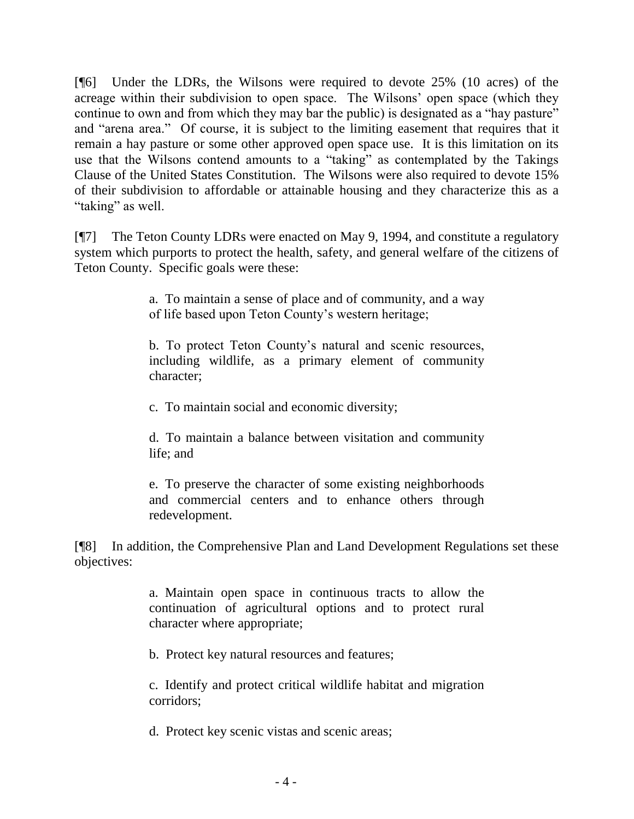[¶6] Under the LDRs, the Wilsons were required to devote 25% (10 acres) of the acreage within their subdivision to open space. The Wilsons" open space (which they continue to own and from which they may bar the public) is designated as a "hay pasture" and "arena area." Of course, it is subject to the limiting easement that requires that it remain a hay pasture or some other approved open space use. It is this limitation on its use that the Wilsons contend amounts to a "taking" as contemplated by the Takings Clause of the United States Constitution. The Wilsons were also required to devote 15% of their subdivision to affordable or attainable housing and they characterize this as a "taking" as well.

[¶7] The Teton County LDRs were enacted on May 9, 1994, and constitute a regulatory system which purports to protect the health, safety, and general welfare of the citizens of Teton County. Specific goals were these:

> a. To maintain a sense of place and of community, and a way of life based upon Teton County"s western heritage;

> b. To protect Teton County"s natural and scenic resources, including wildlife, as a primary element of community character;

c. To maintain social and economic diversity;

d. To maintain a balance between visitation and community life; and

e. To preserve the character of some existing neighborhoods and commercial centers and to enhance others through redevelopment.

[¶8] In addition, the Comprehensive Plan and Land Development Regulations set these objectives:

> a. Maintain open space in continuous tracts to allow the continuation of agricultural options and to protect rural character where appropriate;

b. Protect key natural resources and features;

c. Identify and protect critical wildlife habitat and migration corridors;

d. Protect key scenic vistas and scenic areas;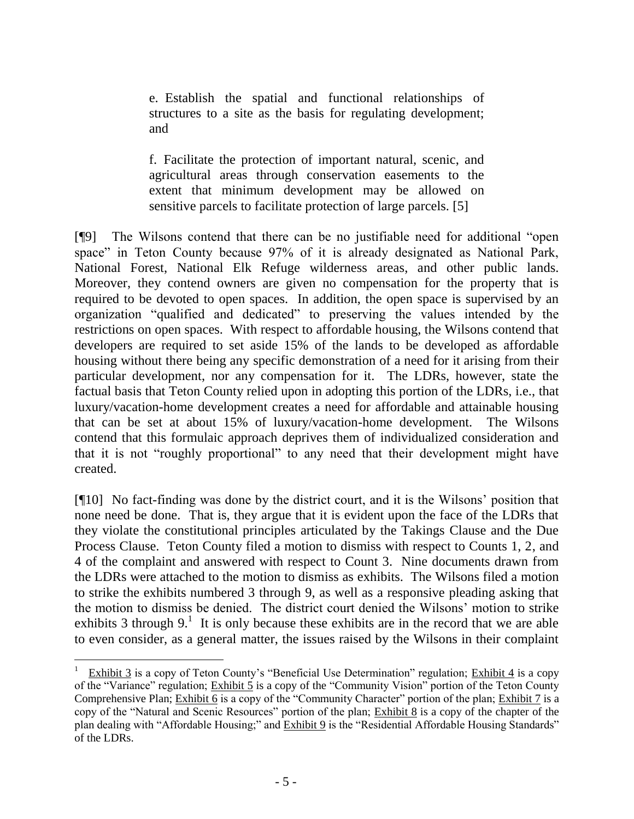e. Establish the spatial and functional relationships of structures to a site as the basis for regulating development; and

f. Facilitate the protection of important natural, scenic, and agricultural areas through conservation easements to the extent that minimum development may be allowed on sensitive parcels to facilitate protection of large parcels. [5]

[¶9] The Wilsons contend that there can be no justifiable need for additional "open space" in Teton County because 97% of it is already designated as National Park, National Forest, National Elk Refuge wilderness areas, and other public lands. Moreover, they contend owners are given no compensation for the property that is required to be devoted to open spaces. In addition, the open space is supervised by an organization "qualified and dedicated" to preserving the values intended by the restrictions on open spaces. With respect to affordable housing, the Wilsons contend that developers are required to set aside 15% of the lands to be developed as affordable housing without there being any specific demonstration of a need for it arising from their particular development, nor any compensation for it. The LDRs, however, state the factual basis that Teton County relied upon in adopting this portion of the LDRs, i.e., that luxury/vacation-home development creates a need for affordable and attainable housing that can be set at about 15% of luxury/vacation-home development. The Wilsons contend that this formulaic approach deprives them of individualized consideration and that it is not "roughly proportional" to any need that their development might have created.

[¶10] No fact-finding was done by the district court, and it is the Wilsons" position that none need be done. That is, they argue that it is evident upon the face of the LDRs that they violate the constitutional principles articulated by the Takings Clause and the Due Process Clause. Teton County filed a motion to dismiss with respect to Counts 1, 2, and 4 of the complaint and answered with respect to Count 3. Nine documents drawn from the LDRs were attached to the motion to dismiss as exhibits. The Wilsons filed a motion to strike the exhibits numbered 3 through 9, as well as a responsive pleading asking that the motion to dismiss be denied. The district court denied the Wilsons" motion to strike exhibits 3 through  $9<sup>1</sup>$ . It is only because these exhibits are in the record that we are able to even consider, as a general matter, the issues raised by the Wilsons in their complaint

 $\overline{a}$ 1 Exhibit 3 is a copy of Teton County"s "Beneficial Use Determination" regulation; Exhibit 4 is a copy of the "Variance" regulation; Exhibit 5 is a copy of the "Community Vision" portion of the Teton County Comprehensive Plan; Exhibit  $\overline{6}$  is a copy of the "Community Character" portion of the plan; Exhibit 7 is a copy of the "Natural and Scenic Resources" portion of the plan; Exhibit 8 is a copy of the chapter of the plan dealing with "Affordable Housing;" and Exhibit 9 is the "Residential Affordable Housing Standards" of the LDRs.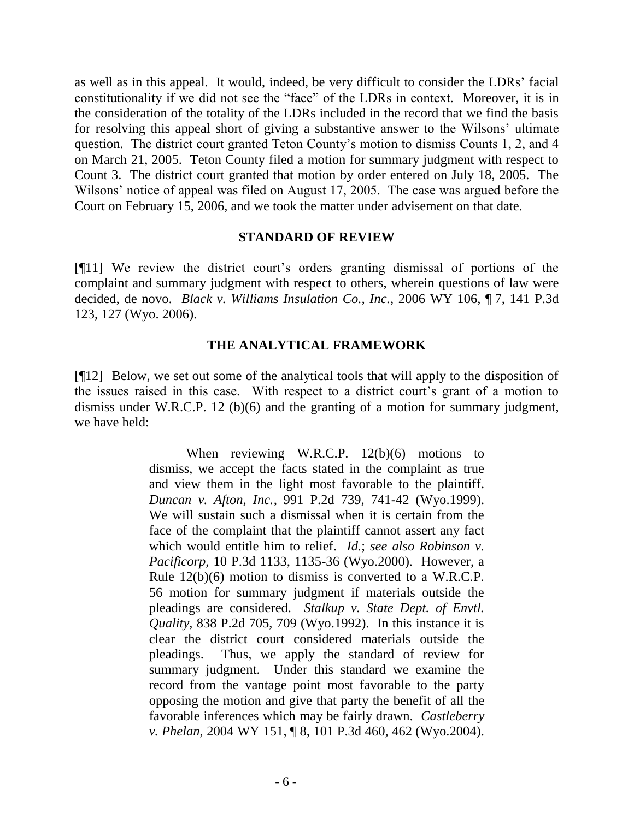as well as in this appeal. It would, indeed, be very difficult to consider the LDRs" facial constitutionality if we did not see the "face" of the LDRs in context. Moreover, it is in the consideration of the totality of the LDRs included in the record that we find the basis for resolving this appeal short of giving a substantive answer to the Wilsons" ultimate question. The district court granted Teton County"s motion to dismiss Counts 1, 2, and 4 on March 21, 2005. Teton County filed a motion for summary judgment with respect to Count 3. The district court granted that motion by order entered on July 18, 2005. The Wilsons' notice of appeal was filed on August 17, 2005. The case was argued before the Court on February 15, 2006, and we took the matter under advisement on that date.

### **STANDARD OF REVIEW**

[¶11] We review the district court"s orders granting dismissal of portions of the complaint and summary judgment with respect to others, wherein questions of law were decided, de novo. *Black v. Williams Insulation Co., Inc.*, 2006 WY 106, ¶ 7, 141 P.3d 123, 127 (Wyo. 2006).

### **THE ANALYTICAL FRAMEWORK**

[¶12] Below, we set out some of the analytical tools that will apply to the disposition of the issues raised in this case. With respect to a district court's grant of a motion to dismiss under W.R.C.P. 12 (b)(6) and the granting of a motion for summary judgment, we have held:

> When reviewing W.R.C.P. 12(b)(6) motions to dismiss, we accept the facts stated in the complaint as true and view them in the light most favorable to the plaintiff. *Duncan v. Afton, Inc.*, 991 P.2d 739, 741-42 (Wyo.1999). We will sustain such a dismissal when it is certain from the face of the complaint that the plaintiff cannot assert any fact which would entitle him to relief. *Id.*; *see also Robinson v. Pacificorp*, 10 P.3d 1133, 1135-36 (Wyo.2000). However, a Rule 12(b)(6) motion to dismiss is converted to a W.R.C.P. 56 motion for summary judgment if materials outside the pleadings are considered. *Stalkup v. State Dept. of Envtl. Quality*, 838 P.2d 705, 709 (Wyo.1992). In this instance it is clear the district court considered materials outside the pleadings. Thus, we apply the standard of review for summary judgment. Under this standard we examine the record from the vantage point most favorable to the party opposing the motion and give that party the benefit of all the favorable inferences which may be fairly drawn. *Castleberry v. Phelan*, 2004 WY 151, ¶ 8, 101 P.3d 460, 462 (Wyo.2004).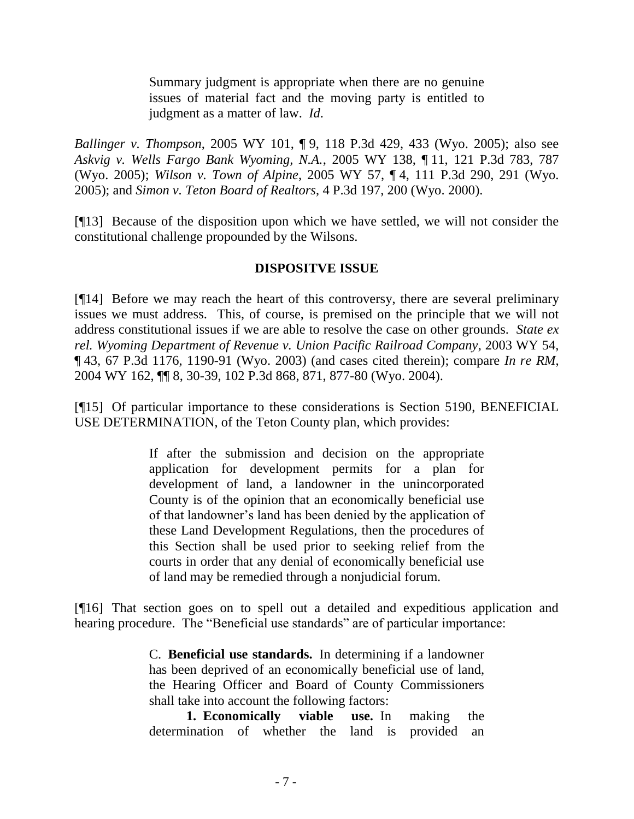Summary judgment is appropriate when there are no genuine issues of material fact and the moving party is entitled to judgment as a matter of law. *Id*.

*Ballinger v. Thompson*, 2005 WY 101, ¶ 9, 118 P.3d 429, 433 (Wyo. 2005); also see *Askvig v. Wells Fargo Bank Wyoming, N.A.*, 2005 WY 138, ¶ 11, 121 P.3d 783, 787 (Wyo. 2005); *Wilson v. Town of Alpine*, 2005 WY 57, ¶ 4, 111 P.3d 290, 291 (Wyo. 2005); and *Simon v. Teton Board of Realtors*, 4 P.3d 197, 200 (Wyo. 2000).

[¶13] Because of the disposition upon which we have settled, we will not consider the constitutional challenge propounded by the Wilsons.

### **DISPOSITVE ISSUE**

[¶14] Before we may reach the heart of this controversy, there are several preliminary issues we must address. This, of course, is premised on the principle that we will not address constitutional issues if we are able to resolve the case on other grounds. *State ex rel. Wyoming Department of Revenue v. Union Pacific Railroad Company*, 2003 WY 54, ¶ 43, 67 P.3d 1176, 1190-91 (Wyo. 2003) (and cases cited therein); compare *In re RM*, 2004 WY 162, ¶¶ 8, 30-39, 102 P.3d 868, 871, 877-80 (Wyo. 2004).

[¶15] Of particular importance to these considerations is Section 5190, BENEFICIAL USE DETERMINATION, of the Teton County plan, which provides:

> If after the submission and decision on the appropriate application for development permits for a plan for development of land, a landowner in the unincorporated County is of the opinion that an economically beneficial use of that landowner"s land has been denied by the application of these Land Development Regulations, then the procedures of this Section shall be used prior to seeking relief from the courts in order that any denial of economically beneficial use of land may be remedied through a nonjudicial forum.

[¶16] That section goes on to spell out a detailed and expeditious application and hearing procedure. The "Beneficial use standards" are of particular importance:

> C. **Beneficial use standards.** In determining if a landowner has been deprived of an economically beneficial use of land, the Hearing Officer and Board of County Commissioners shall take into account the following factors:

> **1. Economically viable use.** In making the determination of whether the land is provided an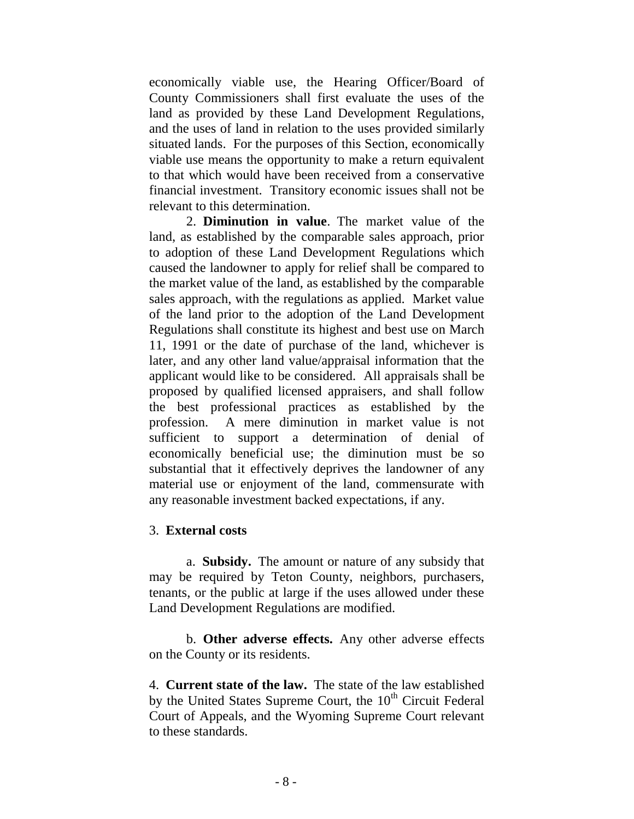economically viable use, the Hearing Officer/Board of County Commissioners shall first evaluate the uses of the land as provided by these Land Development Regulations, and the uses of land in relation to the uses provided similarly situated lands. For the purposes of this Section, economically viable use means the opportunity to make a return equivalent to that which would have been received from a conservative financial investment. Transitory economic issues shall not be relevant to this determination.

2. **Diminution in value**. The market value of the land, as established by the comparable sales approach, prior to adoption of these Land Development Regulations which caused the landowner to apply for relief shall be compared to the market value of the land, as established by the comparable sales approach, with the regulations as applied. Market value of the land prior to the adoption of the Land Development Regulations shall constitute its highest and best use on March 11, 1991 or the date of purchase of the land, whichever is later, and any other land value/appraisal information that the applicant would like to be considered. All appraisals shall be proposed by qualified licensed appraisers, and shall follow the best professional practices as established by the profession. A mere diminution in market value is not sufficient to support a determination of denial of economically beneficial use; the diminution must be so substantial that it effectively deprives the landowner of any material use or enjoyment of the land, commensurate with any reasonable investment backed expectations, if any.

### 3. **External costs**

a. **Subsidy.** The amount or nature of any subsidy that may be required by Teton County, neighbors, purchasers, tenants, or the public at large if the uses allowed under these Land Development Regulations are modified.

b. **Other adverse effects.** Any other adverse effects on the County or its residents.

4. **Current state of the law.** The state of the law established by the United States Supreme Court, the  $10<sup>th</sup>$  Circuit Federal Court of Appeals, and the Wyoming Supreme Court relevant to these standards.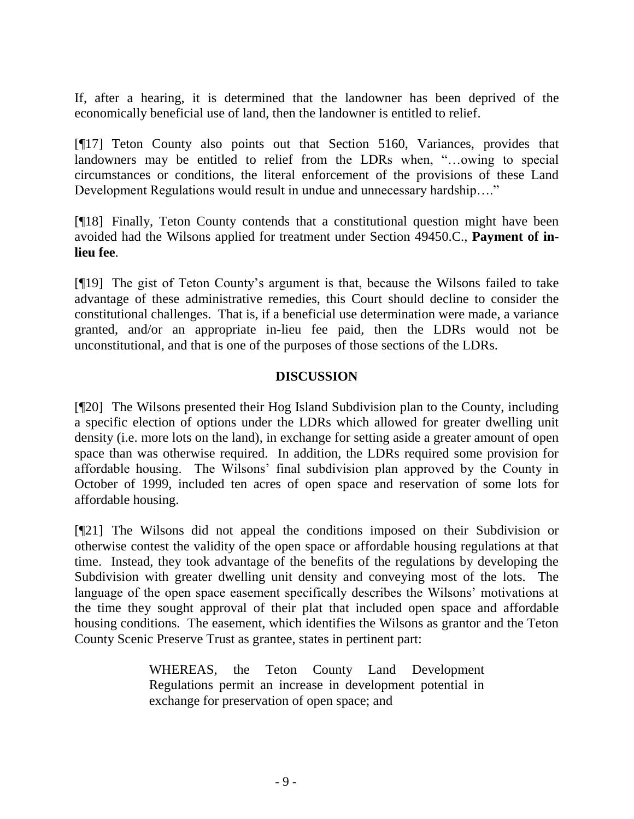If, after a hearing, it is determined that the landowner has been deprived of the economically beneficial use of land, then the landowner is entitled to relief.

[¶17] Teton County also points out that Section 5160, Variances, provides that landowners may be entitled to relief from the LDRs when, "…owing to special circumstances or conditions, the literal enforcement of the provisions of these Land Development Regulations would result in undue and unnecessary hardship…."

[¶18] Finally, Teton County contends that a constitutional question might have been avoided had the Wilsons applied for treatment under Section 49450.C., **Payment of inlieu fee**.

[¶19] The gist of Teton County"s argument is that, because the Wilsons failed to take advantage of these administrative remedies, this Court should decline to consider the constitutional challenges. That is, if a beneficial use determination were made, a variance granted, and/or an appropriate in-lieu fee paid, then the LDRs would not be unconstitutional, and that is one of the purposes of those sections of the LDRs.

### **DISCUSSION**

[¶20] The Wilsons presented their Hog Island Subdivision plan to the County, including a specific election of options under the LDRs which allowed for greater dwelling unit density (i.e. more lots on the land), in exchange for setting aside a greater amount of open space than was otherwise required. In addition, the LDRs required some provision for affordable housing. The Wilsons" final subdivision plan approved by the County in October of 1999, included ten acres of open space and reservation of some lots for affordable housing.

[¶21] The Wilsons did not appeal the conditions imposed on their Subdivision or otherwise contest the validity of the open space or affordable housing regulations at that time. Instead, they took advantage of the benefits of the regulations by developing the Subdivision with greater dwelling unit density and conveying most of the lots. The language of the open space easement specifically describes the Wilsons' motivations at the time they sought approval of their plat that included open space and affordable housing conditions. The easement, which identifies the Wilsons as grantor and the Teton County Scenic Preserve Trust as grantee, states in pertinent part:

> WHEREAS, the Teton County Land Development Regulations permit an increase in development potential in exchange for preservation of open space; and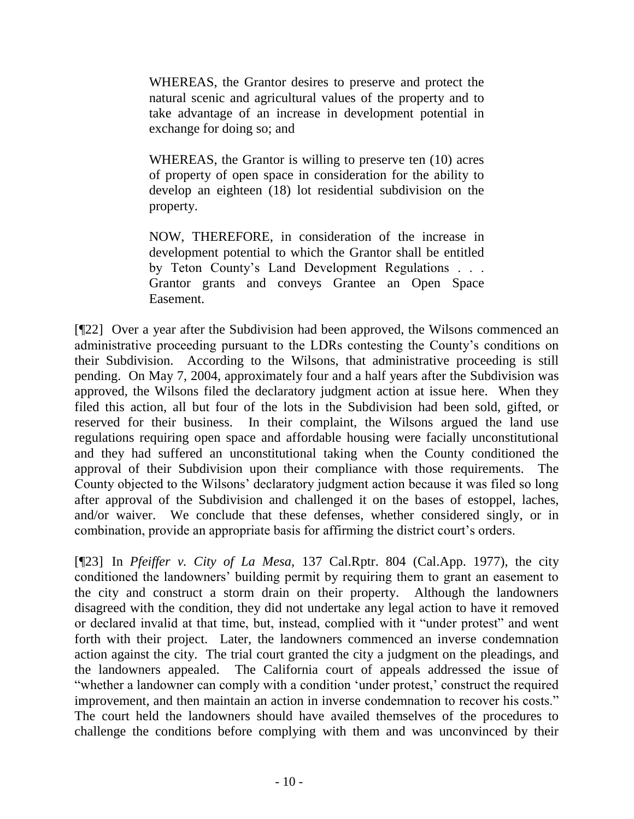WHEREAS, the Grantor desires to preserve and protect the natural scenic and agricultural values of the property and to take advantage of an increase in development potential in exchange for doing so; and

WHEREAS, the Grantor is willing to preserve ten (10) acres of property of open space in consideration for the ability to develop an eighteen (18) lot residential subdivision on the property.

NOW, THEREFORE, in consideration of the increase in development potential to which the Grantor shall be entitled by Teton County"s Land Development Regulations . . . Grantor grants and conveys Grantee an Open Space Easement.

[¶22] Over a year after the Subdivision had been approved, the Wilsons commenced an administrative proceeding pursuant to the LDRs contesting the County"s conditions on their Subdivision. According to the Wilsons, that administrative proceeding is still pending. On May 7, 2004, approximately four and a half years after the Subdivision was approved, the Wilsons filed the declaratory judgment action at issue here. When they filed this action, all but four of the lots in the Subdivision had been sold, gifted, or reserved for their business. In their complaint, the Wilsons argued the land use regulations requiring open space and affordable housing were facially unconstitutional and they had suffered an unconstitutional taking when the County conditioned the approval of their Subdivision upon their compliance with those requirements. The County objected to the Wilsons" declaratory judgment action because it was filed so long after approval of the Subdivision and challenged it on the bases of estoppel, laches, and/or waiver. We conclude that these defenses, whether considered singly, or in combination, provide an appropriate basis for affirming the district court's orders.

[¶23] In *[Pfeiffer v. City of La Mesa,](http://www.westlaw.com/Find/Default.wl?rs=dfa1.0&vr=2.0&DB=227&FindType=Y&ReferencePositionType=S&SerialNum=1977103125&ReferencePosition=806)* [137 Cal.Rptr. 804 \(Cal.App. 1977\),](http://www.westlaw.com/Find/Default.wl?rs=dfa1.0&vr=2.0&DB=227&FindType=Y&ReferencePositionType=S&SerialNum=1977103125&ReferencePosition=806) the city conditioned the landowners" building permit by requiring them to grant an easement to the city and construct a storm drain on their property. Although the landowners disagreed with the condition, they did not undertake any legal action to have it removed or declared invalid at that time, but, instead, complied with it "under protest" and went forth with their project. Later, the landowners commenced an inverse condemnation action against the city. The trial court granted the city a judgment on the pleadings, and the landowners appealed. The California court of appeals addressed the issue of "whether a landowner can comply with a condition 'under protest,' construct the required improvement, and then maintain an action in inverse condemnation to recover his costs." The court held the landowners should have availed themselves of the procedures to challenge the conditions before complying with them and was unconvinced by their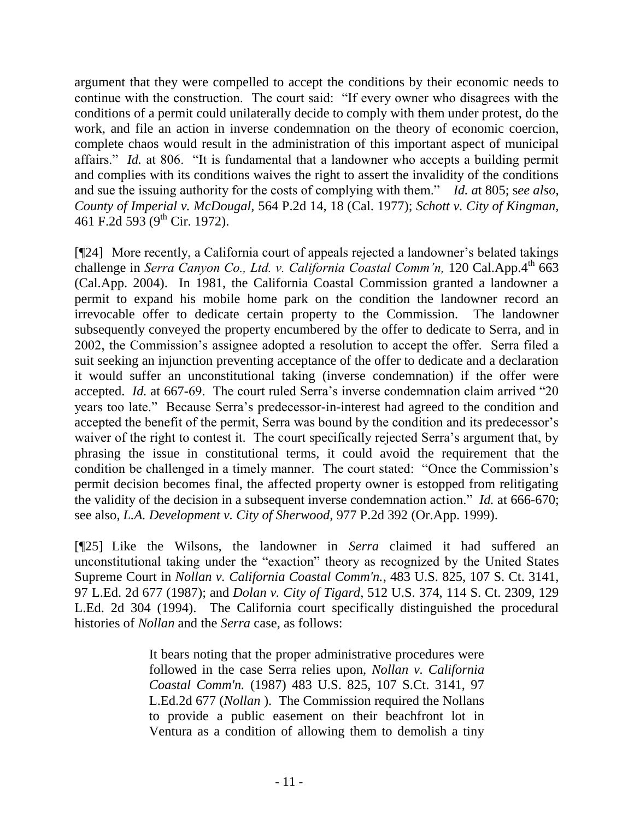argument that they were compelled to accept the conditions by their economic needs to continue with the construction. The court said: "If every owner who disagrees with the conditions of a permit could unilaterally decide to comply with them under protest, do the work, and file an action in inverse condemnation on the theory of economic coercion, complete chaos would result in the administration of this important aspect of municipal affairs." *Id.* at 806. "It is fundamental that a landowner who accepts a building permit and complies with its conditions waives the right to assert the invalidity of the conditions and sue the issuing authority for the costs of complying with them." *Id. a*t 805; s*ee also*, *[County of Imperial v. McDougal,](http://www.westlaw.com/Find/Default.wl?rs=dfa1.0&vr=2.0&DB=661&FindType=Y&ReferencePositionType=S&SerialNum=1977103200&ReferencePosition=18)* [564 P.2d 14, 18 \(Cal. 1977\);](http://www.westlaw.com/Find/Default.wl?rs=dfa1.0&vr=2.0&DB=661&FindType=Y&ReferencePositionType=S&SerialNum=1977103200&ReferencePosition=18) *Schott v. City of Kingman,*  461 F.2d 593 (9<sup>th</sup> Cir. 1972).

[¶24] More recently, a California court of appeals rejected a landowner"s belated takings challenge in *Serra Canyon Co., Ltd. v. California Coastal Comm'n,* 120 Cal.App.4<sup>th</sup> 663 (Cal.App. 2004). In 1981, the California Coastal Commission granted a landowner a permit to expand his mobile home park on the condition the landowner record an irrevocable offer to dedicate certain property to the Commission. The landowner subsequently conveyed the property encumbered by the offer to dedicate to Serra, and in 2002, the Commission"s assignee adopted a resolution to accept the offer. Serra filed a suit seeking an injunction preventing acceptance of the offer to dedicate and a declaration it would suffer an unconstitutional taking (inverse condemnation) if the offer were accepted. *Id.* at 667-69. The court ruled Serra's inverse condemnation claim arrived "20 years too late." Because Serra"s predecessor-in-interest had agreed to the condition and accepted the benefit of the permit. Serra was bound by the condition and its predecessor's waiver of the right to contest it. The court specifically rejected Serra's argument that, by phrasing the issue in constitutional terms, it could avoid the requirement that the condition be challenged in a timely manner. The court stated: "Once the Commission"s permit decision becomes final, the affected property owner is estopped from relitigating the validity of the decision in a subsequent inverse condemnation action." *Id.* at 666-670; see also, *L.A. Development v. City of Sherwood,* 977 P.2d 392 (Or.App. 1999).

[¶25] Like the Wilsons, the landowner in *Serra* claimed it had suffered an unconstitutional taking under the "exaction" theory as recognized by the United States Supreme Court in *[Nollan v. California Coastal Comm'n.](http://www.westlaw.com/Find/Default.wl?rs=dfa1.0&vr=2.0&DB=708&FindType=Y&SerialNum=1987080057)*[, 483 U.S. 825, 107 S. Ct. 3141,](http://www.westlaw.com/Find/Default.wl?rs=dfa1.0&vr=2.0&DB=708&FindType=Y&SerialNum=1987080057)  97 L.Ed. 2d 677 (1987); and *Dolan v. City of Tigard,* 512 U.S. 374, 114 S. Ct. 2309, 129 L.Ed. 2d 304 (1994). The California court specifically distinguished the procedural histories of *Nollan* and the *Serra* case, as follows:

> It bears noting that the proper administrative procedures were followed in the case Serra relies upon, *[Nollan v. California](http://www.westlaw.com/Find/Default.wl?rs=dfa1.0&vr=2.0&DB=708&FindType=Y&SerialNum=1987080057)  [Coastal Comm'n.](http://www.westlaw.com/Find/Default.wl?rs=dfa1.0&vr=2.0&DB=708&FindType=Y&SerialNum=1987080057)* [\(1987\) 483 U.S. 825, 107 S.Ct. 3141, 97](http://www.westlaw.com/Find/Default.wl?rs=dfa1.0&vr=2.0&DB=708&FindType=Y&SerialNum=1987080057)  L.Ed.2d 677 (*[Nollan](http://www.westlaw.com/Find/Default.wl?rs=dfa1.0&vr=2.0&FindType=Y&SerialNum=1987080057)* ). The Commission required the Nollans to provide a public easement on their beachfront lot in Ventura as a condition of allowing them to demolish a tiny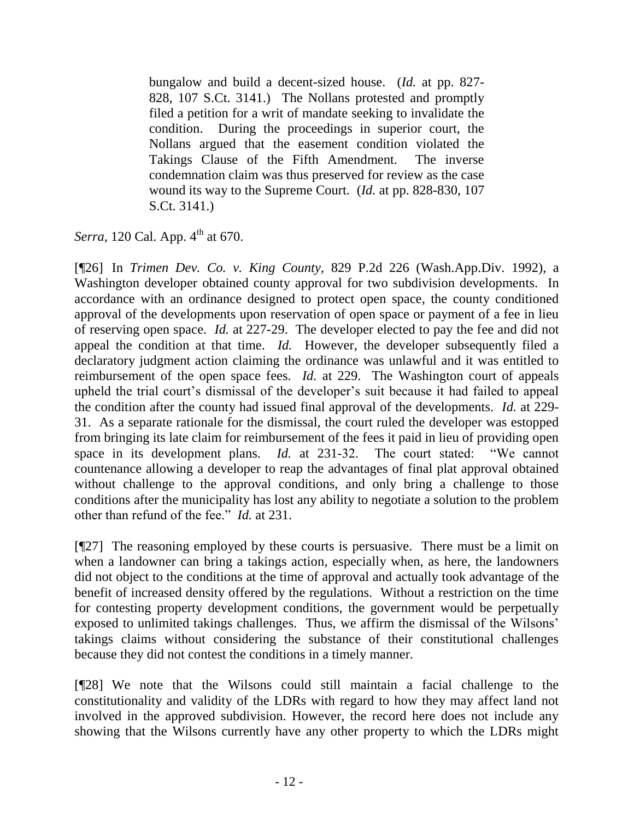bungalow and build a decent-sized house. [\(](http://www.westlaw.com/Find/Default.wl?rs=dfa1.0&vr=2.0&DB=708&FindType=Y&SerialNum=1987080057)*[Id.](http://www.westlaw.com/Find/Default.wl?rs=dfa1.0&vr=2.0&DB=708&FindType=Y&SerialNum=1987080057)* [at pp. 827-](http://www.westlaw.com/Find/Default.wl?rs=dfa1.0&vr=2.0&DB=708&FindType=Y&SerialNum=1987080057) [828, 107 S.Ct. 3141.\)](http://www.westlaw.com/Find/Default.wl?rs=dfa1.0&vr=2.0&DB=708&FindType=Y&SerialNum=1987080057) The Nollans protested and promptly filed a petition for a writ of mandate seeking to invalidate the condition. During the proceedings in superior court, the Nollans argued that the easement condition violated the Takings Clause of the Fifth Amendment. The inverse condemnation claim was thus preserved for review as the case wound its way to the Supreme Court. [\(](http://www.westlaw.com/Find/Default.wl?rs=dfa1.0&vr=2.0&DB=708&FindType=Y&SerialNum=1987080057)*[Id.](http://www.westlaw.com/Find/Default.wl?rs=dfa1.0&vr=2.0&DB=708&FindType=Y&SerialNum=1987080057)* [at pp. 828-830, 107](http://www.westlaw.com/Find/Default.wl?rs=dfa1.0&vr=2.0&DB=708&FindType=Y&SerialNum=1987080057)  [S.Ct. 3141.\)](http://www.westlaw.com/Find/Default.wl?rs=dfa1.0&vr=2.0&DB=708&FindType=Y&SerialNum=1987080057)

*Serra*, 120 Cal. App. 4<sup>th</sup> at 670.

[¶26] In *Trimen Dev. Co. v. King County,* 829 P.2d 226 (Wash.App.Div. 1992), a Washington developer obtained county approval for two subdivision developments. In accordance with an ordinance designed to protect open space, the county conditioned approval of the developments upon reservation of open space or payment of a fee in lieu of reserving open space. *Id.* at 227-29. The developer elected to pay the fee and did not appeal the condition at that time. *Id.* However, the developer subsequently filed a declaratory judgment action claiming the ordinance was unlawful and it was entitled to reimbursement of the open space fees. *Id.* at 229. The Washington court of appeals upheld the trial court"s dismissal of the developer"s suit because it had failed to appeal the condition after the county had issued final approval of the developments. *Id.* at 229- 31. As a separate rationale for the dismissal, the court ruled the developer was estopped from bringing its late claim for reimbursement of the fees it paid in lieu of providing open space in its development plans. *Id.* at 231-32. The court stated: "We cannot countenance allowing a developer to reap the advantages of final plat approval obtained without challenge to the approval conditions, and only bring a challenge to those conditions after the municipality has lost any ability to negotiate a solution to the problem other than refund of the fee." *Id.* at 231.

[¶27] The reasoning employed by these courts is persuasive. There must be a limit on when a landowner can bring a takings action, especially when, as here, the landowners did not object to the conditions at the time of approval and actually took advantage of the benefit of increased density offered by the regulations. Without a restriction on the time for contesting property development conditions, the government would be perpetually exposed to unlimited takings challenges. Thus, we affirm the dismissal of the Wilsons' takings claims without considering the substance of their constitutional challenges because they did not contest the conditions in a timely manner.

[¶28] We note that the Wilsons could still maintain a facial challenge to the constitutionality and validity of the LDRs with regard to how they may affect land not involved in the approved subdivision. However, the record here does not include any showing that the Wilsons currently have any other property to which the LDRs might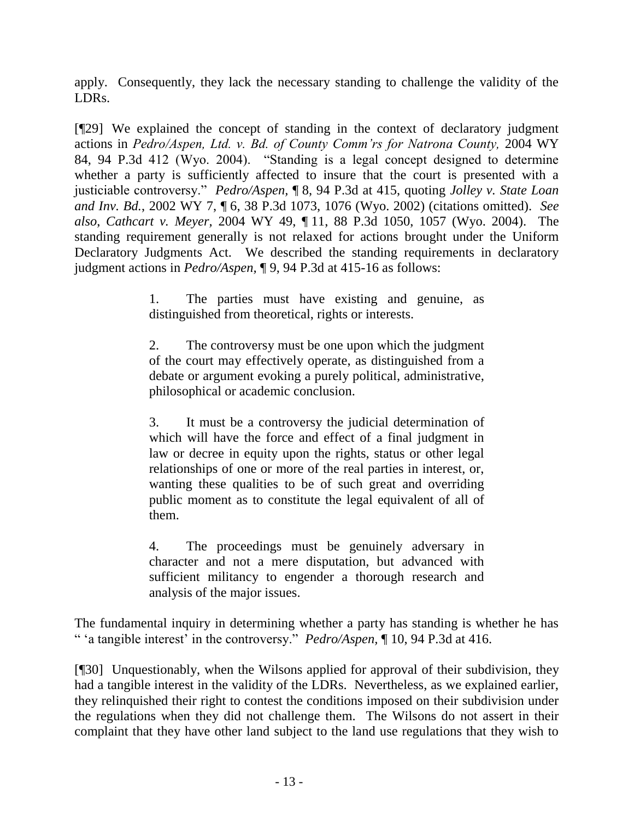apply. Consequently, they lack the necessary standing to challenge the validity of the LDRs.

[¶29] We explained the concept of standing in the context of declaratory judgment actions in *Pedro/Aspen, Ltd. v. Bd. of County Comm'rs for Natrona County,* 2004 WY 84, 94 P.3d 412 (Wyo. 2004). "Standing is a legal concept designed to determine whether a party is sufficiently affected to insure that the court is presented with a justiciable controversy." *Pedro/Aspen,* ¶ 8, 94 P.3d at 415, quoting *Jolley v. State Loan and Inv. Bd.*, 2002 WY 7, ¶ 6, 38 P.3d 1073, 1076 (Wyo. 2002) (citations omitted). *See also*, *Cathcart v. Meyer,* 2004 WY 49, ¶ 11, 88 P.3d 1050, 1057 (Wyo. 2004). The standing requirement generally is not relaxed for actions brought under the Uniform Declaratory Judgments Act. We described the standing requirements in declaratory judgment actions in *Pedro/Aspen,* ¶ 9, 94 P.3d at 415-16 as follows:

> 1. The parties must have existing and genuine, as distinguished from theoretical, rights or interests.

> 2. The controversy must be one upon which the judgment of the court may effectively operate, as distinguished from a debate or argument evoking a purely political, administrative, philosophical or academic conclusion.

> 3. It must be a controversy the judicial determination of which will have the force and effect of a final judgment in law or decree in equity upon the rights, status or other legal relationships of one or more of the real parties in interest, or, wanting these qualities to be of such great and overriding public moment as to constitute the legal equivalent of all of them.

> 4. The proceedings must be genuinely adversary in character and not a mere disputation, but advanced with sufficient militancy to engender a thorough research and analysis of the major issues.

The fundamental inquiry in determining whether a party has standing is whether he has " "a tangible interest" in the controversy." *Pedro/Aspen,* ¶ 10, 94 P.3d at 416.

[¶30] Unquestionably, when the Wilsons applied for approval of their subdivision, they had a tangible interest in the validity of the LDRs. Nevertheless, as we explained earlier, they relinquished their right to contest the conditions imposed on their subdivision under the regulations when they did not challenge them. The Wilsons do not assert in their complaint that they have other land subject to the land use regulations that they wish to